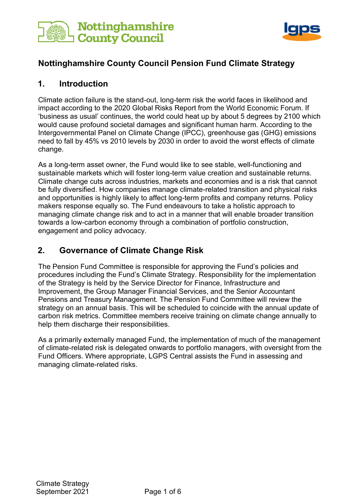



### **Nottinghamshire County Council Pension Fund Climate Strategy**

### **1. Introduction**

Climate action failure is the stand-out, long-term risk the world faces in likelihood and impact according to the 2020 Global Risks Report from the World Economic Forum. If 'business as usual' continues, the world could heat up by about 5 degrees by 2100 which would cause profound societal damages and significant human harm. According to the Intergovernmental Panel on Climate Change (IPCC), greenhouse gas (GHG) emissions need to fall by 45% vs 2010 levels by 2030 in order to avoid the worst effects of climate change.

As a long-term asset owner, the Fund would like to see stable, well-functioning and sustainable markets which will foster long-term value creation and sustainable returns. Climate change cuts across industries, markets and economies and is a risk that cannot be fully diversified. How companies manage climate-related transition and physical risks and opportunities is highly likely to affect long-term profits and company returns. Policy makers response equally so. The Fund endeavours to take a holistic approach to managing climate change risk and to act in a manner that will enable broader transition towards a low-carbon economy through a combination of portfolio construction, engagement and policy advocacy.

# **2. Governance of Climate Change Risk**

The Pension Fund Committee is responsible for approving the Fund's policies and procedures including the Fund's Climate Strategy. Responsibility for the implementation of the Strategy is held by the Service Director for Finance, Infrastructure and Improvement, the Group Manager Financial Services, and the Senior Accountant Pensions and Treasury Management. The Pension Fund Committee will review the strategy on an annual basis. This will be scheduled to coincide with the annual update of carbon risk metrics. Committee members receive training on climate change annually to help them discharge their responsibilities.

As a primarily externally managed Fund, the implementation of much of the management of climate-related risk is delegated onwards to portfolio managers, with oversight from the Fund Officers. Where appropriate, LGPS Central assists the Fund in assessing and managing climate-related risks.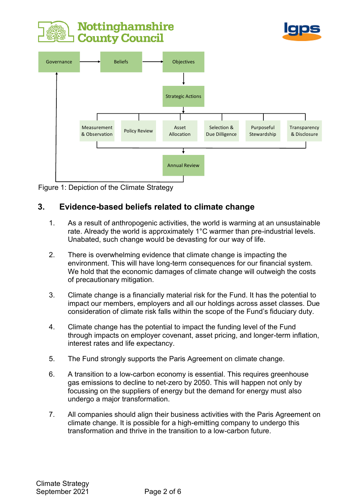





Figure 1: Depiction of the Climate Strategy

# **3. Evidence-based beliefs related to climate change**

- 1. As a result of anthropogenic activities, the world is warming at an unsustainable rate. Already the world is approximately 1°C warmer than pre-industrial levels. Unabated, such change would be devasting for our way of life.
- 2. There is overwhelming evidence that climate change is impacting the environment. This will have long-term consequences for our financial system. We hold that the economic damages of climate change will outweigh the costs of precautionary mitigation.
- 3. Climate change is a financially material risk for the Fund. It has the potential to impact our members, employers and all our holdings across asset classes. Due consideration of climate risk falls within the scope of the Fund's fiduciary duty.
- 4. Climate change has the potential to impact the funding level of the Fund through impacts on employer covenant, asset pricing, and longer-term inflation, interest rates and life expectancy.
- 5. The Fund strongly supports the Paris Agreement on climate change.
- 6. A transition to a low-carbon economy is essential. This requires greenhouse gas emissions to decline to net-zero by 2050. This will happen not only by focussing on the suppliers of energy but the demand for energy must also undergo a major transformation.
- 7. All companies should align their business activities with the Paris Agreement on climate change. It is possible for a high-emitting company to undergo this transformation and thrive in the transition to a low-carbon future.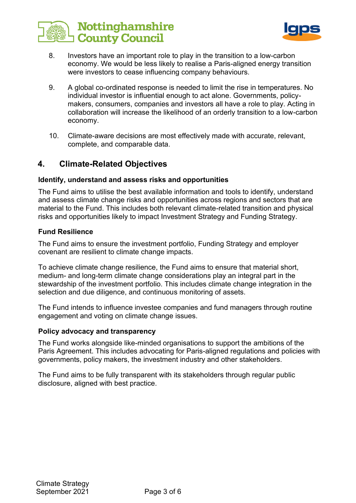



- 8. Investors have an important role to play in the transition to a low-carbon economy. We would be less likely to realise a Paris-aligned energy transition were investors to cease influencing company behaviours.
- 9. A global co-ordinated response is needed to limit the rise in temperatures. No individual investor is influential enough to act alone. Governments, policymakers, consumers, companies and investors all have a role to play. Acting in collaboration will increase the likelihood of an orderly transition to a low-carbon economy.
- 10. Climate-aware decisions are most effectively made with accurate, relevant, complete, and comparable data.

### **4. Climate-Related Objectives**

#### **Identify, understand and assess risks and opportunities**

The Fund aims to utilise the best available information and tools to identify, understand and assess climate change risks and opportunities across regions and sectors that are material to the Fund. This includes both relevant climate-related transition and physical risks and opportunities likely to impact Investment Strategy and Funding Strategy.

#### **Fund Resilience**

The Fund aims to ensure the investment portfolio, Funding Strategy and employer covenant are resilient to climate change impacts.

To achieve climate change resilience, the Fund aims to ensure that material short, medium- and long-term climate change considerations play an integral part in the stewardship of the investment portfolio. This includes climate change integration in the selection and due diligence, and continuous monitoring of assets.

The Fund intends to influence investee companies and fund managers through routine engagement and voting on climate change issues.

#### **Policy advocacy and transparency**

The Fund works alongside like-minded organisations to support the ambitions of the Paris Agreement. This includes advocating for Paris-aligned regulations and policies with governments, policy makers, the investment industry and other stakeholders.

The Fund aims to be fully transparent with its stakeholders through regular public disclosure, aligned with best practice.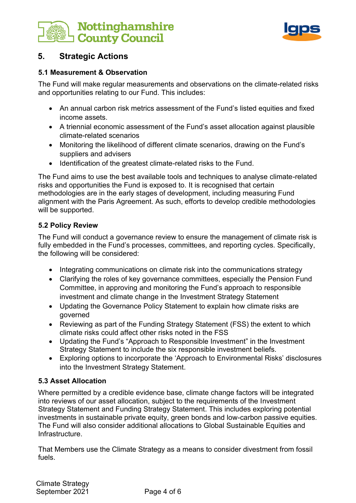



# **5. Strategic Actions**

#### **5.1 Measurement & Observation**

The Fund will make regular measurements and observations on the climate-related risks and opportunities relating to our Fund. This includes:

- An annual carbon risk metrics assessment of the Fund's listed equities and fixed income assets.
- A triennial economic assessment of the Fund's asset allocation against plausible climate-related scenarios
- Monitoring the likelihood of different climate scenarios, drawing on the Fund's suppliers and advisers
- Identification of the greatest climate-related risks to the Fund.

The Fund aims to use the best available tools and techniques to analyse climate-related risks and opportunities the Fund is exposed to. It is recognised that certain methodologies are in the early stages of development, including measuring Fund alignment with the Paris Agreement. As such, efforts to develop credible methodologies will be supported.

#### **5.2 Policy Review**

The Fund will conduct a governance review to ensure the management of climate risk is fully embedded in the Fund's processes, committees, and reporting cycles. Specifically, the following will be considered:

- Integrating communications on climate risk into the communications strategy
- Clarifying the roles of key governance committees, especially the Pension Fund Committee, in approving and monitoring the Fund's approach to responsible investment and climate change in the Investment Strategy Statement
- Updating the Governance Policy Statement to explain how climate risks are governed
- Reviewing as part of the Funding Strategy Statement (FSS) the extent to which climate risks could affect other risks noted in the FSS
- Updating the Fund's "Approach to Responsible Investment" in the Investment Strategy Statement to include the six responsible investment beliefs.
- Exploring options to incorporate the 'Approach to Environmental Risks' disclosures into the Investment Strategy Statement.

### **5.3 Asset Allocation**

Where permitted by a credible evidence base, climate change factors will be integrated into reviews of our asset allocation, subject to the requirements of the Investment Strategy Statement and Funding Strategy Statement. This includes exploring potential investments in sustainable private equity, green bonds and low-carbon passive equities. The Fund will also consider additional allocations to Global Sustainable Equities and Infrastructure.

That Members use the Climate Strategy as a means to consider divestment from fossil fuels.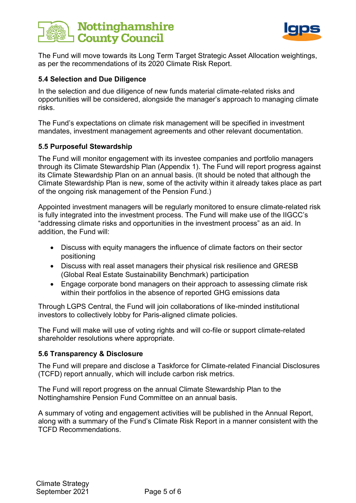



The Fund will move towards its Long Term Target Strategic Asset Allocation weightings, as per the recommendations of its 2020 Climate Risk Report.

#### **5.4 Selection and Due Diligence**

In the selection and due diligence of new funds material climate-related risks and opportunities will be considered, alongside the manager's approach to managing climate risks.

The Fund's expectations on climate risk management will be specified in investment mandates, investment management agreements and other relevant documentation.

#### **5.5 Purposeful Stewardship**

The Fund will monitor engagement with its investee companies and portfolio managers through its Climate Stewardship Plan (Appendix 1). The Fund will report progress against its Climate Stewardship Plan on an annual basis. (It should be noted that although the Climate Stewardship Plan is new, some of the activity within it already takes place as part of the ongoing risk management of the Pension Fund.)

Appointed investment managers will be regularly monitored to ensure climate-related risk is fully integrated into the investment process. The Fund will make use of the IIGCC's "addressing climate risks and opportunities in the investment process" as an aid. In addition, the Fund will:

- Discuss with equity managers the influence of climate factors on their sector positioning
- Discuss with real asset managers their physical risk resilience and GRESB (Global Real Estate Sustainability Benchmark) participation
- Engage corporate bond managers on their approach to assessing climate risk within their portfolios in the absence of reported GHG emissions data

Through LGPS Central, the Fund will join collaborations of like-minded institutional investors to collectively lobby for Paris-aligned climate policies.

The Fund will make will use of voting rights and will co-file or support climate-related shareholder resolutions where appropriate.

#### **5.6 Transparency & Disclosure**

The Fund will prepare and disclose a Taskforce for Climate-related Financial Disclosures (TCFD) report annually, which will include carbon risk metrics.

The Fund will report progress on the annual Climate Stewardship Plan to the Nottinghamshire Pension Fund Committee on an annual basis.

A summary of voting and engagement activities will be published in the Annual Report, along with a summary of the Fund's Climate Risk Report in a manner consistent with the TCFD Recommendations.